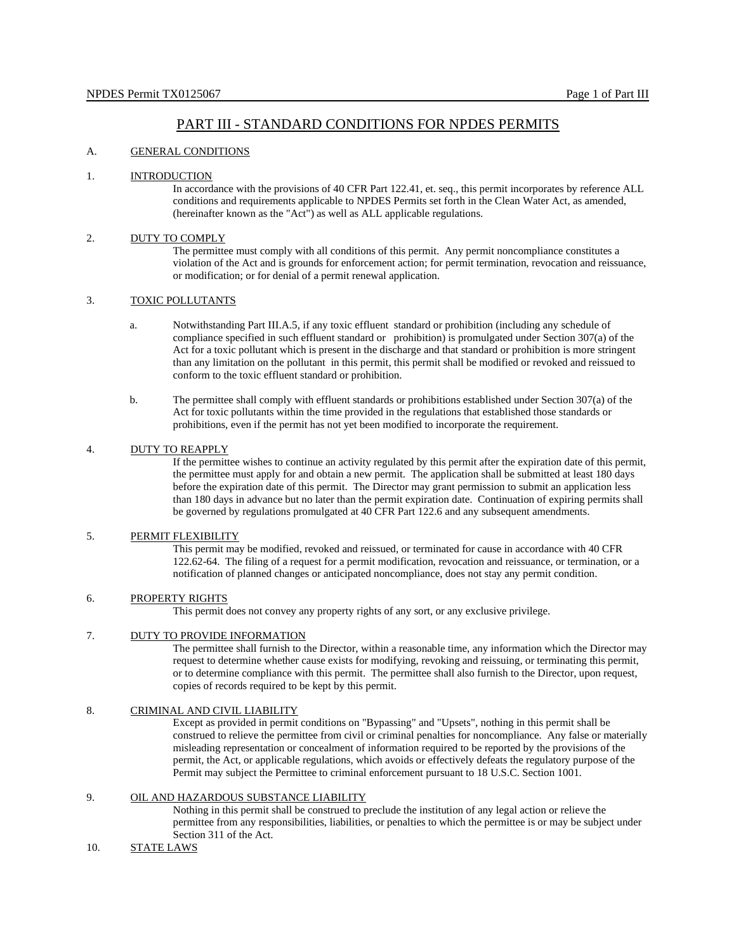# PART III - STANDARD CONDITIONS FOR NPDES PERMITS

### A. GENERAL CONDITIONS

### 1. INTRODUCTION

In accordance with the provisions of 40 CFR Part 122.41, et. seq., this permit incorporates by reference ALL conditions and requirements applicable to NPDES Permits set forth in the Clean Water Act, as amended, (hereinafter known as the "Act") as well as ALL applicable regulations.

### 2. DUTY TO COMPLY

The permittee must comply with all conditions of this permit. Any permit noncompliance constitutes a violation of the Act and is grounds for enforcement action; for permit termination, revocation and reissuance, or modification; or for denial of a permit renewal application.

## 3. TOXIC POLLUTANTS

- a. Notwithstanding Part III.A.5, if any toxic effluent standard or prohibition (including any schedule of compliance specified in such effluent standard or prohibition) is promulgated under Section 307(a) of the Act for a toxic pollutant which is present in the discharge and that standard or prohibition is more stringent than any limitation on the pollutant in this permit, this permit shall be modified or revoked and reissued to conform to the toxic effluent standard or prohibition.
- b. The permittee shall comply with effluent standards or prohibitions established under Section 307(a) of the Act for toxic pollutants within the time provided in the regulations that established those standards or prohibitions, even if the permit has not yet been modified to incorporate the requirement.

### 4. DUTY TO REAPPLY

If the permittee wishes to continue an activity regulated by this permit after the expiration date of this permit, the permittee must apply for and obtain a new permit. The application shall be submitted at least 180 days before the expiration date of this permit. The Director may grant permission to submit an application less than 180 days in advance but no later than the permit expiration date. Continuation of expiring permits shall be governed by regulations promulgated at 40 CFR Part 122.6 and any subsequent amendments.

### 5. PERMIT FLEXIBILITY

This permit may be modified, revoked and reissued, or terminated for cause in accordance with 40 CFR 122.62-64. The filing of a request for a permit modification, revocation and reissuance, or termination, or a notification of planned changes or anticipated noncompliance, does not stay any permit condition.

### 6. PROPERTY RIGHTS

This permit does not convey any property rights of any sort, or any exclusive privilege.

## 7. DUTY TO PROVIDE INFORMATION

The permittee shall furnish to the Director, within a reasonable time, any information which the Director may request to determine whether cause exists for modifying, revoking and reissuing, or terminating this permit, or to determine compliance with this permit. The permittee shall also furnish to the Director, upon request, copies of records required to be kept by this permit.

### 8. CRIMINAL AND CIVIL LIABILITY

Except as provided in permit conditions on "Bypassing" and "Upsets", nothing in this permit shall be construed to relieve the permittee from civil or criminal penalties for noncompliance. Any false or materially misleading representation or concealment of information required to be reported by the provisions of the permit, the Act, or applicable regulations, which avoids or effectively defeats the regulatory purpose of the Permit may subject the Permittee to criminal enforcement pursuant to 18 U.S.C. Section 1001.

## 9. OIL AND HAZARDOUS SUBSTANCE LIABILITY

Nothing in this permit shall be construed to preclude the institution of any legal action or relieve the permittee from any responsibilities, liabilities, or penalties to which the permittee is or may be subject under Section 311 of the Act.

#### 10. STATE LAWS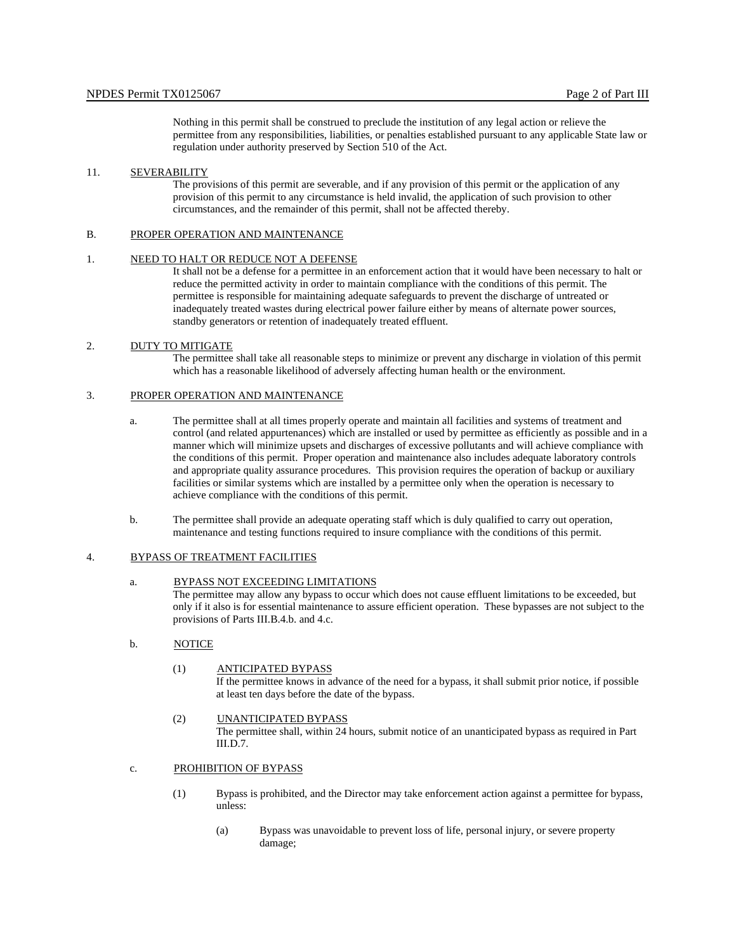Nothing in this permit shall be construed to preclude the institution of any legal action or relieve the permittee from any responsibilities, liabilities, or penalties established pursuant to any applicable State law or regulation under authority preserved by Section 510 of the Act.

### 11. SEVERABILITY

The provisions of this permit are severable, and if any provision of this permit or the application of any provision of this permit to any circumstance is held invalid, the application of such provision to other circumstances, and the remainder of this permit, shall not be affected thereby.

#### B. PROPER OPERATION AND MAINTENANCE

#### 1. NEED TO HALT OR REDUCE NOT A DEFENSE

It shall not be a defense for a permittee in an enforcement action that it would have been necessary to halt or reduce the permitted activity in order to maintain compliance with the conditions of this permit. The permittee is responsible for maintaining adequate safeguards to prevent the discharge of untreated or inadequately treated wastes during electrical power failure either by means of alternate power sources, standby generators or retention of inadequately treated effluent.

### 2. DUTY TO MITIGATE

The permittee shall take all reasonable steps to minimize or prevent any discharge in violation of this permit which has a reasonable likelihood of adversely affecting human health or the environment.

## 3. PROPER OPERATION AND MAINTENANCE

- a. The permittee shall at all times properly operate and maintain all facilities and systems of treatment and control (and related appurtenances) which are installed or used by permittee as efficiently as possible and in a manner which will minimize upsets and discharges of excessive pollutants and will achieve compliance with the conditions of this permit. Proper operation and maintenance also includes adequate laboratory controls and appropriate quality assurance procedures. This provision requires the operation of backup or auxiliary facilities or similar systems which are installed by a permittee only when the operation is necessary to achieve compliance with the conditions of this permit.
- b. The permittee shall provide an adequate operating staff which is duly qualified to carry out operation, maintenance and testing functions required to insure compliance with the conditions of this permit.

#### 4. BYPASS OF TREATMENT FACILITIES

## a. BYPASS NOT EXCEEDING LIMITATIONS

The permittee may allow any bypass to occur which does not cause effluent limitations to be exceeded, but only if it also is for essential maintenance to assure efficient operation. These bypasses are not subject to the provisions of Parts III.B.4.b. and 4.c.

### b. NOTICE

### (1) ANTICIPATED BYPASS

If the permittee knows in advance of the need for a bypass, it shall submit prior notice, if possible at least ten days before the date of the bypass.

(2) <sup>U</sup>UNANTICIPATED BYPASS The permittee shall, within 24 hours, submit notice of an unanticipated bypass as required in Part III.D.7.

### c. PROHIBITION OF BYPASS

- (1) Bypass is prohibited, and the Director may take enforcement action against a permittee for bypass, unless:
	- (a) Bypass was unavoidable to prevent loss of life, personal injury, or severe property damage;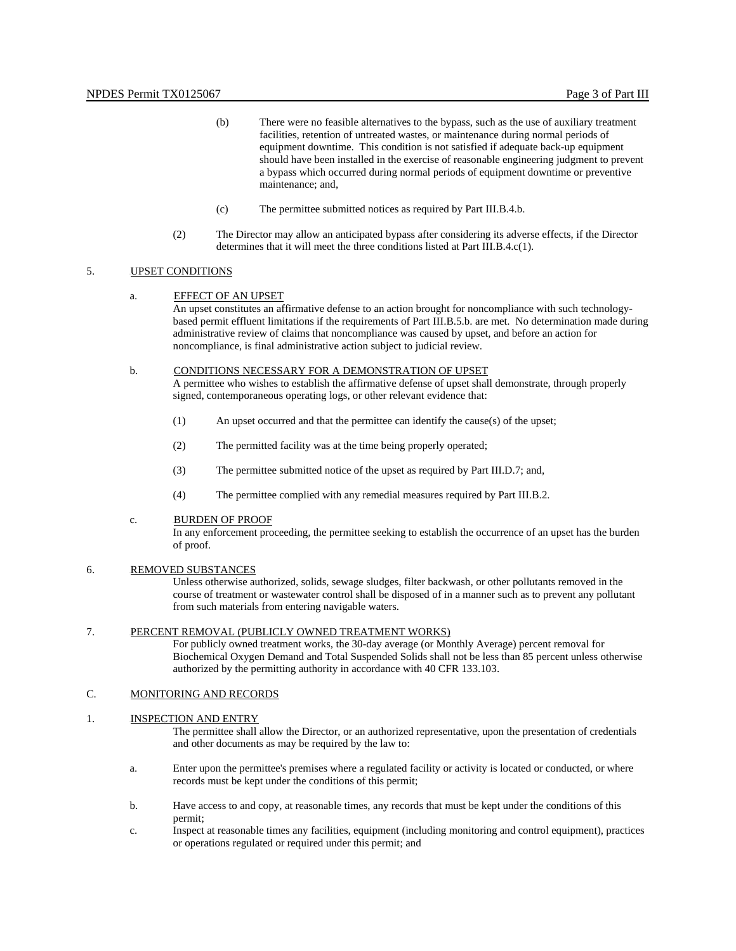- (b) There were no feasible alternatives to the bypass, such as the use of auxiliary treatment facilities, retention of untreated wastes, or maintenance during normal periods of equipment downtime. This condition is not satisfied if adequate back-up equipment should have been installed in the exercise of reasonable engineering judgment to prevent a bypass which occurred during normal periods of equipment downtime or preventive maintenance; and,
- (c) The permittee submitted notices as required by Part III.B.4.b.
- (2) The Director may allow an anticipated bypass after considering its adverse effects, if the Director determines that it will meet the three conditions listed at Part III.B.4.c(1).

## 5. UPSET CONDITIONS

a. EFFECT OF AN UPSET

An upset constitutes an affirmative defense to an action brought for noncompliance with such technologybased permit effluent limitations if the requirements of Part III.B.5.b. are met. No determination made during administrative review of claims that noncompliance was caused by upset, and before an action for noncompliance, is final administrative action subject to judicial review.

#### b. CONDITIONS NECESSARY FOR A DEMONSTRATION OF UPSET

A permittee who wishes to establish the affirmative defense of upset shall demonstrate, through properly signed, contemporaneous operating logs, or other relevant evidence that:

- (1) An upset occurred and that the permittee can identify the cause(s) of the upset;
- (2) The permitted facility was at the time being properly operated;
- (3) The permittee submitted notice of the upset as required by Part III.D.7; and,
- (4) The permittee complied with any remedial measures required by Part III.B.2.

### c. BURDEN OF PROOF

In any enforcement proceeding, the permittee seeking to establish the occurrence of an upset has the burden of proof.

### 6. REMOVED SUBSTANCES

Unless otherwise authorized, solids, sewage sludges, filter backwash, or other pollutants removed in the course of treatment or wastewater control shall be disposed of in a manner such as to prevent any pollutant from such materials from entering navigable waters.

#### 7. PERCENT REMOVAL (PUBLICLY OWNED TREATMENT WORKS)

For publicly owned treatment works, the 30-day average (or Monthly Average) percent removal for Biochemical Oxygen Demand and Total Suspended Solids shall not be less than 85 percent unless otherwise authorized by the permitting authority in accordance with 40 CFR 133.103.

### C. MONITORING AND RECORDS

### 1. INSPECTION AND ENTRY

The permittee shall allow the Director, or an authorized representative, upon the presentation of credentials and other documents as may be required by the law to:

- a. Enter upon the permittee's premises where a regulated facility or activity is located or conducted, or where records must be kept under the conditions of this permit;
- b. Have access to and copy, at reasonable times, any records that must be kept under the conditions of this permit;
- c. Inspect at reasonable times any facilities, equipment (including monitoring and control equipment), practices or operations regulated or required under this permit; and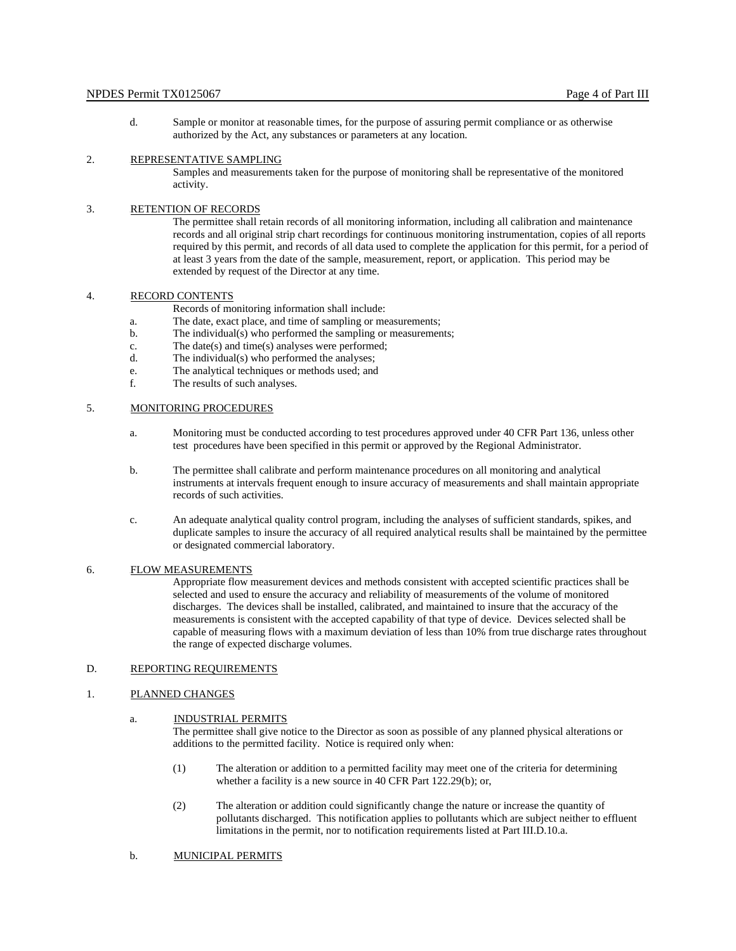d. Sample or monitor at reasonable times, for the purpose of assuring permit compliance or as otherwise authorized by the Act, any substances or parameters at any location.

## 2. REPRESENTATIVE SAMPLING

Samples and measurements taken for the purpose of monitoring shall be representative of the monitored activity.

#### 3. RETENTION OF RECORDS

The permittee shall retain records of all monitoring information, including all calibration and maintenance records and all original strip chart recordings for continuous monitoring instrumentation, copies of all reports required by this permit, and records of all data used to complete the application for this permit, for a period of at least 3 years from the date of the sample, measurement, report, or application. This period may be extended by request of the Director at any time.

## 4. RECORD CONTENTS

Records of monitoring information shall include:

- a. The date, exact place, and time of sampling or measurements;
- b. The individual(s) who performed the sampling or measurements;
- c. The date(s) and time(s) analyses were performed;
- d. The individual(s) who performed the analyses;
- e. The analytical techniques or methods used; and
- f. The results of such analyses.

### 5. MONITORING PROCEDURES

- a. Monitoring must be conducted according to test procedures approved under 40 CFR Part 136, unless other test procedures have been specified in this permit or approved by the Regional Administrator.
- b. The permittee shall calibrate and perform maintenance procedures on all monitoring and analytical instruments at intervals frequent enough to insure accuracy of measurements and shall maintain appropriate records of such activities.
- c. An adequate analytical quality control program, including the analyses of sufficient standards, spikes, and duplicate samples to insure the accuracy of all required analytical results shall be maintained by the permittee or designated commercial laboratory.

### 6. FLOW MEASUREMENTS

Appropriate flow measurement devices and methods consistent with accepted scientific practices shall be selected and used to ensure the accuracy and reliability of measurements of the volume of monitored discharges. The devices shall be installed, calibrated, and maintained to insure that the accuracy of the measurements is consistent with the accepted capability of that type of device. Devices selected shall be capable of measuring flows with a maximum deviation of less than 10% from true discharge rates throughout the range of expected discharge volumes.

### D. REPORTING REQUIREMENTS

#### 1. PLANNED CHANGES

### a. INDUSTRIAL PERMITS

The permittee shall give notice to the Director as soon as possible of any planned physical alterations or additions to the permitted facility. Notice is required only when:

- (1) The alteration or addition to a permitted facility may meet one of the criteria for determining whether a facility is a new source in 40 CFR Part 122.29(b); or,
- (2) The alteration or addition could significantly change the nature or increase the quantity of pollutants discharged. This notification applies to pollutants which are subject neither to effluent limitations in the permit, nor to notification requirements listed at Part III.D.10.a.
- b. MUNICIPAL PERMITS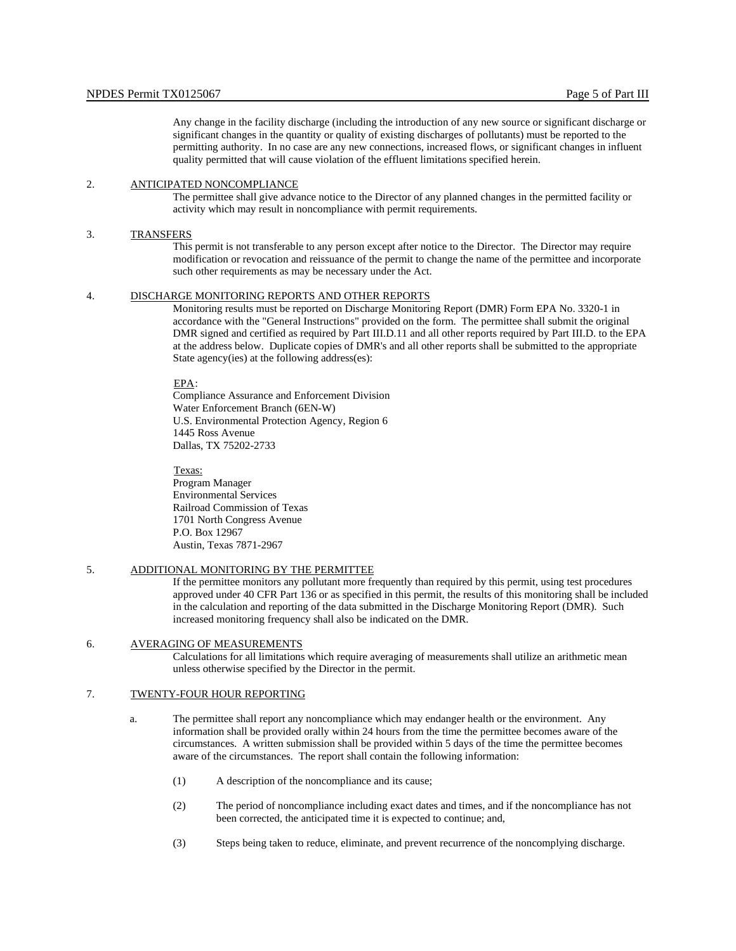Any change in the facility discharge (including the introduction of any new source or significant discharge or significant changes in the quantity or quality of existing discharges of pollutants) must be reported to the permitting authority. In no case are any new connections, increased flows, or significant changes in influent quality permitted that will cause violation of the effluent limitations specified herein.

### 2. ANTICIPATED NONCOMPLIANCE

The permittee shall give advance notice to the Director of any planned changes in the permitted facility or activity which may result in noncompliance with permit requirements.

#### 3. TRANSFERS

This permit is not transferable to any person except after notice to the Director. The Director may require modification or revocation and reissuance of the permit to change the name of the permittee and incorporate such other requirements as may be necessary under the Act.

#### 4. <sup>U</sup>DISCHARGE MONITORING REPORTS AND OTHER REPORTS

Monitoring results must be reported on Discharge Monitoring Report (DMR) Form EPA No. 3320-1 in accordance with the "General Instructions" provided on the form. The permittee shall submit the original DMR signed and certified as required by Part III.D.11 and all other reports required by Part III.D. to the EPA at the address below. Duplicate copies of DMR's and all other reports shall be submitted to the appropriate State agency(ies) at the following address(es):

#### EPA:

Compliance Assurance and Enforcement Division Water Enforcement Branch (6EN-W) U.S. Environmental Protection Agency, Region 6 1445 Ross Avenue Dallas, TX 75202-2733

Texas:

Program Manager Environmental Services Railroad Commission of Texas 1701 North Congress Avenue P.O. Box 12967 Austin, Texas 7871-2967

### 5. ADDITIONAL MONITORING BY THE PERMITTEE

If the permittee monitors any pollutant more frequently than required by this permit, using test procedures approved under 40 CFR Part 136 or as specified in this permit, the results of this monitoring shall be included in the calculation and reporting of the data submitted in the Discharge Monitoring Report (DMR). Such increased monitoring frequency shall also be indicated on the DMR.

#### 6. AVERAGING OF MEASUREMENTS

Calculations for all limitations which require averaging of measurements shall utilize an arithmetic mean unless otherwise specified by the Director in the permit.

### 7. TWENTY-FOUR HOUR REPORTING

- a. The permittee shall report any noncompliance which may endanger health or the environment. Any information shall be provided orally within 24 hours from the time the permittee becomes aware of the circumstances. A written submission shall be provided within 5 days of the time the permittee becomes aware of the circumstances. The report shall contain the following information:
	- (1) A description of the noncompliance and its cause;
	- (2) The period of noncompliance including exact dates and times, and if the noncompliance has not been corrected, the anticipated time it is expected to continue; and,
	- (3) Steps being taken to reduce, eliminate, and prevent recurrence of the noncomplying discharge.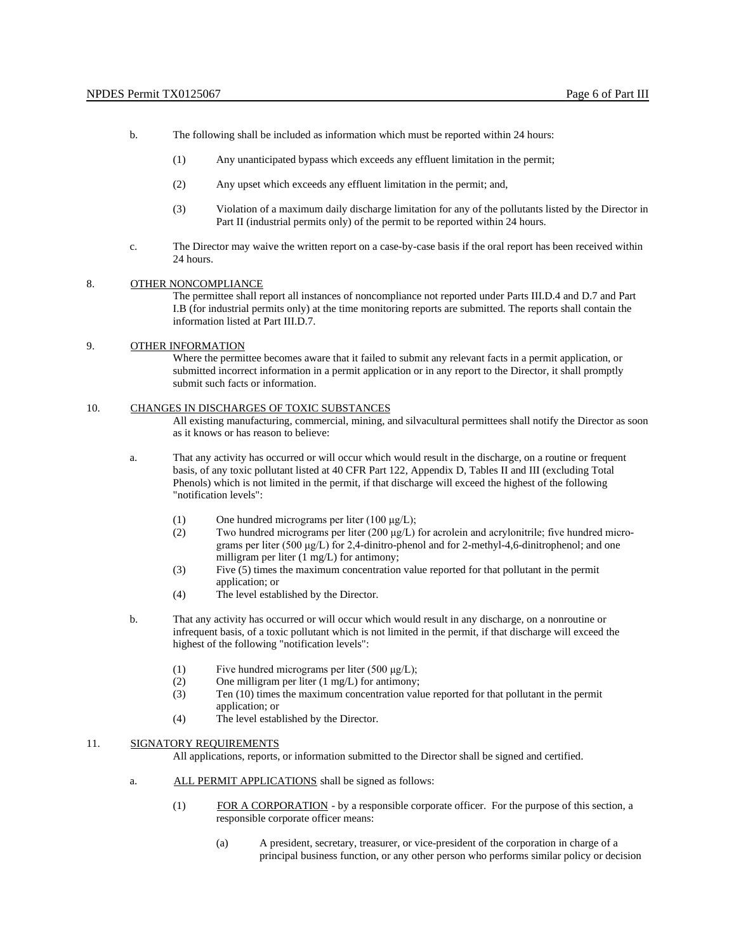- b. The following shall be included as information which must be reported within 24 hours:
	- (1) Any unanticipated bypass which exceeds any effluent limitation in the permit;
	- (2) Any upset which exceeds any effluent limitation in the permit; and,
	- (3) Violation of a maximum daily discharge limitation for any of the pollutants listed by the Director in Part II (industrial permits only) of the permit to be reported within 24 hours.
- c. The Director may waive the written report on a case-by-case basis if the oral report has been received within 24 hours.

#### 8. OTHER NONCOMPLIANCE

The permittee shall report all instances of noncompliance not reported under Parts III.D.4 and D.7 and Part I.B (for industrial permits only) at the time monitoring reports are submitted. The reports shall contain the information listed at Part III.D.7.

### 9. OTHER INFORMATION

Where the permittee becomes aware that it failed to submit any relevant facts in a permit application, or submitted incorrect information in a permit application or in any report to the Director, it shall promptly submit such facts or information.

#### 10. CHANGES IN DISCHARGES OF TOXIC SUBSTANCES

All existing manufacturing, commercial, mining, and silvacultural permittees shall notify the Director as soon as it knows or has reason to believe:

- a. That any activity has occurred or will occur which would result in the discharge, on a routine or frequent basis, of any toxic pollutant listed at 40 CFR Part 122, Appendix D, Tables II and III (excluding Total Phenols) which is not limited in the permit, if that discharge will exceed the highest of the following "notification levels":
	- (1) One hundred micrograms per liter  $(100 \mu g/L)$ ;
	- (2) Two hundred micrograms per liter (200  $\mu$ g/L) for acrolein and acrylonitrile; five hundred micrograms per liter (500 μg/L) for 2,4-dinitro-phenol and for 2-methyl-4,6-dinitrophenol; and one milligram per liter (1 mg/L) for antimony;
	- (3) Five (5) times the maximum concentration value reported for that pollutant in the permit application; or
	- (4) The level established by the Director.
- b. That any activity has occurred or will occur which would result in any discharge, on a nonroutine or infrequent basis, of a toxic pollutant which is not limited in the permit, if that discharge will exceed the highest of the following "notification levels":
	- (1) Five hundred micrograms per liter  $(500 \mu g/L)$ ;
	- (2) One milligram per liter (1 mg/L) for antimony;
	- (3) Ten (10) times the maximum concentration value reported for that pollutant in the permit application; or
	- (4) The level established by the Director.

#### 11. SIGNATORY REQUIREMENTS

All applications, reports, or information submitted to the Director shall be signed and certified.

- a. ALL PERMIT APPLICATIONS shall be signed as follows:
	- $(1)$  EOR A CORPORATION by a responsible corporate officer. For the purpose of this section, a responsible corporate officer means:
		- (a) A president, secretary, treasurer, or vice-president of the corporation in charge of a principal business function, or any other person who performs similar policy or decision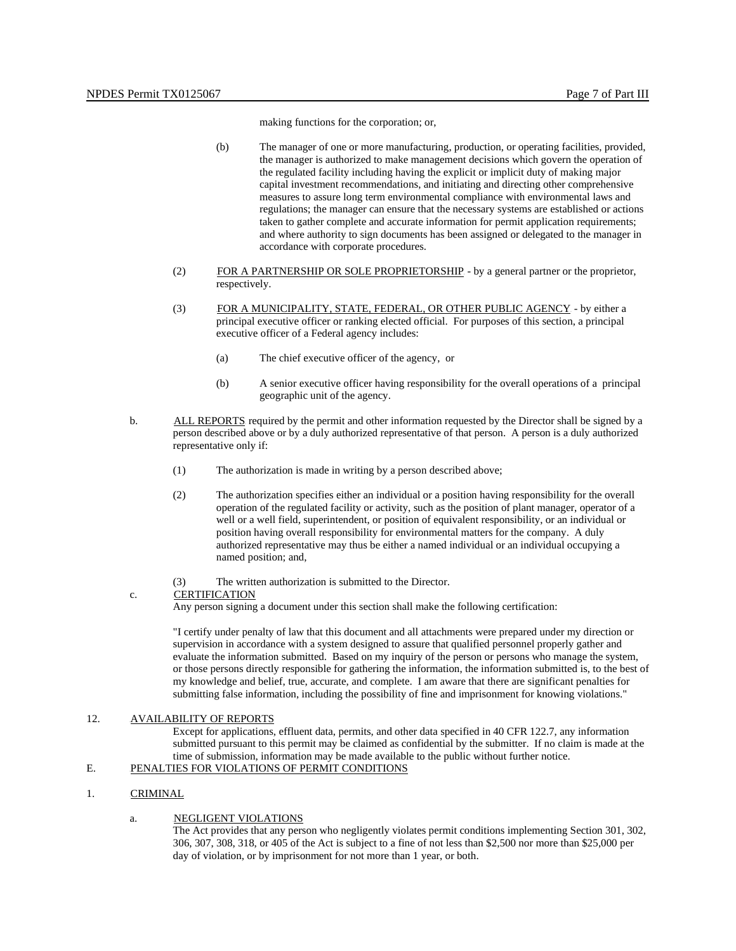making functions for the corporation; or,

- (b) The manager of one or more manufacturing, production, or operating facilities, provided, the manager is authorized to make management decisions which govern the operation of the regulated facility including having the explicit or implicit duty of making major capital investment recommendations, and initiating and directing other comprehensive measures to assure long term environmental compliance with environmental laws and regulations; the manager can ensure that the necessary systems are established or actions taken to gather complete and accurate information for permit application requirements; and where authority to sign documents has been assigned or delegated to the manager in accordance with corporate procedures.
- $(2)$  EOR A PARTNERSHIP OR SOLE PROPRIETORSHIP by a general partner or the proprietor, respectively.
- (3) FOR A MUNICIPALITY, STATE, FEDERAL, OR OTHER PUBLIC AGENCY by either a principal executive officer or ranking elected official. For purposes of this section, a principal executive officer of a Federal agency includes:
	- (a) The chief executive officer of the agency, or
	- (b) A senior executive officer having responsibility for the overall operations of a principal geographic unit of the agency.
- b. ALL REPORTS required by the permit and other information requested by the Director shall be signed by a person described above or by a duly authorized representative of that person. A person is a duly authorized representative only if:
	- (1) The authorization is made in writing by a person described above;
	- (2) The authorization specifies either an individual or a position having responsibility for the overall operation of the regulated facility or activity, such as the position of plant manager, operator of a well or a well field, superintendent, or position of equivalent responsibility, or an individual or position having overall responsibility for environmental matters for the company. A duly authorized representative may thus be either a named individual or an individual occupying a named position; and,
	- (3) The written authorization is submitted to the Director.

#### c. **CERTIFICATION**

Any person signing a document under this section shall make the following certification:

"I certify under penalty of law that this document and all attachments were prepared under my direction or supervision in accordance with a system designed to assure that qualified personnel properly gather and evaluate the information submitted. Based on my inquiry of the person or persons who manage the system, or those persons directly responsible for gathering the information, the information submitted is, to the best of my knowledge and belief, true, accurate, and complete. I am aware that there are significant penalties for submitting false information, including the possibility of fine and imprisonment for knowing violations."

### 12. AVAILABILITY OF REPORTS

Except for applications, effluent data, permits, and other data specified in 40 CFR 122.7, any information submitted pursuant to this permit may be claimed as confidential by the submitter. If no claim is made at the time of submission, information may be made available to the public without further notice.

# E. PENALTIES FOR VIOLATIONS OF PERMIT CONDITIONS

### 1. CRIMINAL

#### a. NEGLIGENT VIOLATIONS

The Act provides that any person who negligently violates permit conditions implementing Section 301, 302, 306, 307, 308, 318, or 405 of the Act is subject to a fine of not less than \$2,500 nor more than \$25,000 per day of violation, or by imprisonment for not more than 1 year, or both.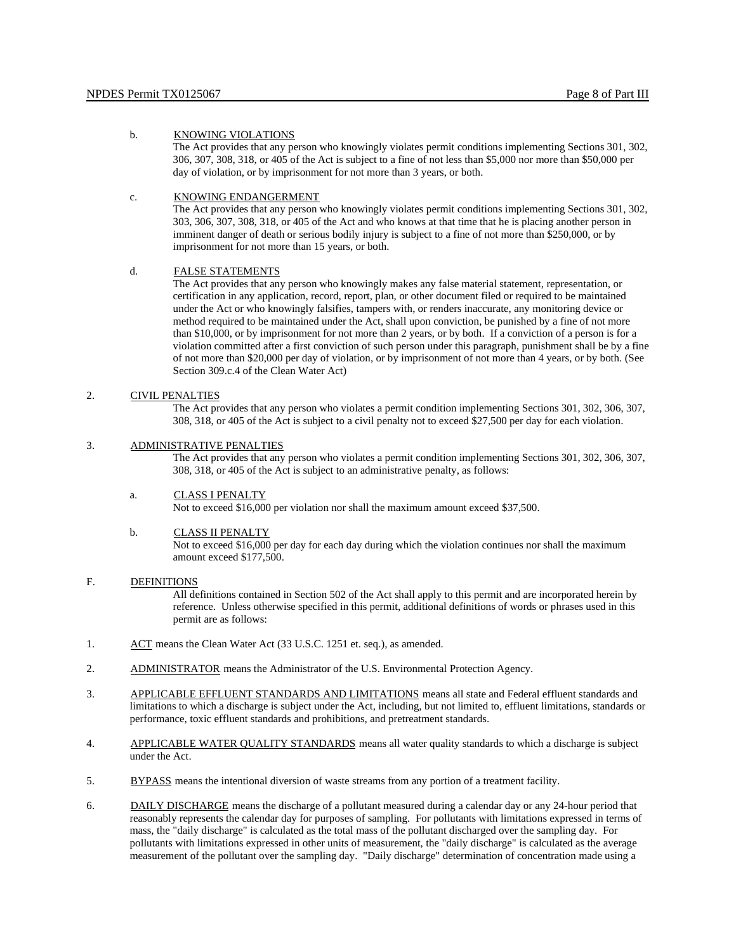#### b. KNOWING VIOLATIONS

The Act provides that any person who knowingly violates permit conditions implementing Sections 301, 302, 306, 307, 308, 318, or 405 of the Act is subject to a fine of not less than \$5,000 nor more than \$50,000 per day of violation, or by imprisonment for not more than 3 years, or both.

#### c. KNOWING ENDANGERMENT

The Act provides that any person who knowingly violates permit conditions implementing Sections 301, 302, 303, 306, 307, 308, 318, or 405 of the Act and who knows at that time that he is placing another person in imminent danger of death or serious bodily injury is subject to a fine of not more than \$250,000, or by imprisonment for not more than 15 years, or both.

## d. FALSE STATEMENTS

The Act provides that any person who knowingly makes any false material statement, representation, or certification in any application, record, report, plan, or other document filed or required to be maintained under the Act or who knowingly falsifies, tampers with, or renders inaccurate, any monitoring device or method required to be maintained under the Act, shall upon conviction, be punished by a fine of not more than \$10,000, or by imprisonment for not more than 2 years, or by both. If a conviction of a person is for a violation committed after a first conviction of such person under this paragraph, punishment shall be by a fine of not more than \$20,000 per day of violation, or by imprisonment of not more than 4 years, or by both. (See Section 309.c.4 of the Clean Water Act)

### 2. CIVIL PENALTIES

The Act provides that any person who violates a permit condition implementing Sections 301, 302, 306, 307, 308, 318, or 405 of the Act is subject to a civil penalty not to exceed \$27,500 per day for each violation.

### 3. ADMINISTRATIVE PENALTIES

The Act provides that any person who violates a permit condition implementing Sections 301, 302, 306, 307, 308, 318, or 405 of the Act is subject to an administrative penalty, as follows:

### a. CLASS I PENALTY

Not to exceed \$16,000 per violation nor shall the maximum amount exceed \$37,500.

#### b. CLASS II PENALTY

Not to exceed \$16,000 per day for each day during which the violation continues nor shall the maximum amount exceed \$177,500.

## F. DEFINITIONS

All definitions contained in Section 502 of the Act shall apply to this permit and are incorporated herein by reference. Unless otherwise specified in this permit, additional definitions of words or phrases used in this permit are as follows:

- 1. ACT means the Clean Water Act (33 U.S.C. 1251 et. seq.), as amended.
- 2. ADMINISTRATOR means the Administrator of the U.S. Environmental Protection Agency.
- 3. APPLICABLE EFFLUENT STANDARDS AND LIMITATIONS means all state and Federal effluent standards and limitations to which a discharge is subject under the Act, including, but not limited to, effluent limitations, standards or performance, toxic effluent standards and prohibitions, and pretreatment standards.
- 4. APPLICABLE WATER QUALITY STANDARDS means all water quality standards to which a discharge is subject under the Act.
- 5. BYPASS means the intentional diversion of waste streams from any portion of a treatment facility.
- 6. DAILY DISCHARGE means the discharge of a pollutant measured during a calendar day or any 24-hour period that reasonably represents the calendar day for purposes of sampling. For pollutants with limitations expressed in terms of mass, the "daily discharge" is calculated as the total mass of the pollutant discharged over the sampling day. For pollutants with limitations expressed in other units of measurement, the "daily discharge" is calculated as the average measurement of the pollutant over the sampling day. "Daily discharge" determination of concentration made using a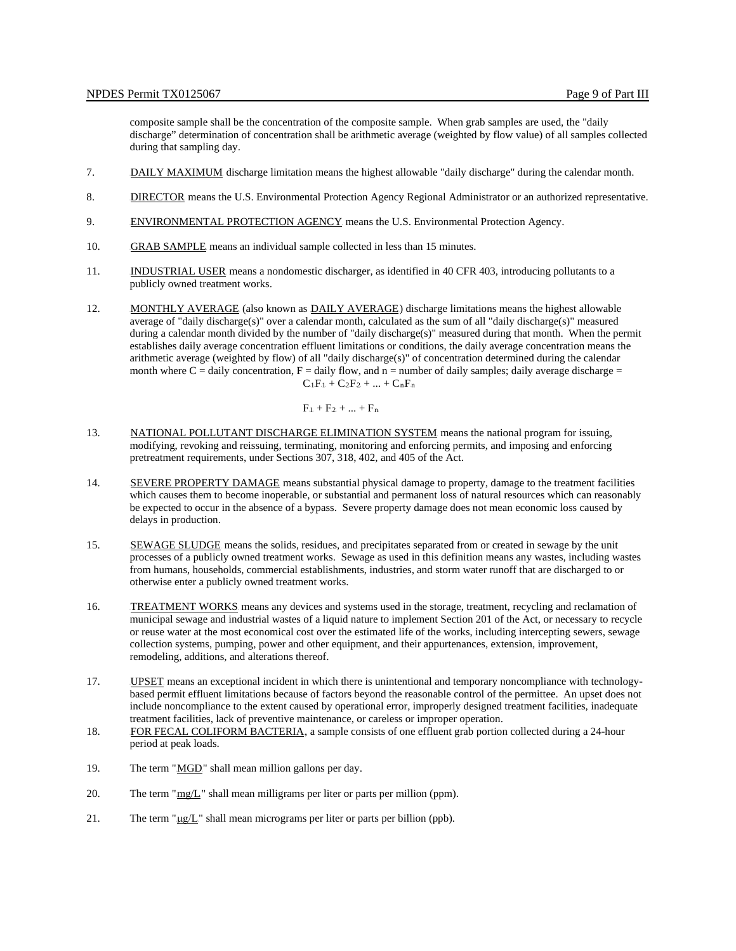composite sample shall be the concentration of the composite sample. When grab samples are used, the "daily discharge" determination of concentration shall be arithmetic average (weighted by flow value) of all samples collected during that sampling day.

- 7. DAILY MAXIMUM discharge limitation means the highest allowable "daily discharge" during the calendar month.
- 8. DIRECTOR means the U.S. Environmental Protection Agency Regional Administrator or an authorized representative.
- 9. ENVIRONMENTAL PROTECTION AGENCY means the U.S. Environmental Protection Agency.
- 10. GRAB SAMPLE means an individual sample collected in less than 15 minutes.
- 11. INDUSTRIAL USER means a nondomestic discharger, as identified in 40 CFR 403, introducing pollutants to a publicly owned treatment works.
- 12. MONTHLY AVERAGE (also known as DAILY AVERAGE) discharge limitations means the highest allowable average of "daily discharge(s)" over a calendar month, calculated as the sum of all "daily discharge(s)" measured during a calendar month divided by the number of "daily discharge(s)" measured during that month. When the permit establishes daily average concentration effluent limitations or conditions, the daily average concentration means the arithmetic average (weighted by flow) of all "daily discharge(s)" of concentration determined during the calendar month where  $C =$  daily concentration,  $F =$  daily flow, and  $n =$  number of daily samples; daily average discharge  $=$  $C_1F_1 + C_2F_2 + ... + C_nF_n$

 $F_1 + F_2 + ... + F_n$ 

- 13. NATIONAL POLLUTANT DISCHARGE ELIMINATION SYSTEM means the national program for issuing, modifying, revoking and reissuing, terminating, monitoring and enforcing permits, and imposing and enforcing pretreatment requirements, under Sections 307, 318, 402, and 405 of the Act.
- 14. SEVERE PROPERTY DAMAGE means substantial physical damage to property, damage to the treatment facilities which causes them to become inoperable, or substantial and permanent loss of natural resources which can reasonably be expected to occur in the absence of a bypass. Severe property damage does not mean economic loss caused by delays in production.
- 15. SEWAGE SLUDGE means the solids, residues, and precipitates separated from or created in sewage by the unit processes of a publicly owned treatment works. Sewage as used in this definition means any wastes, including wastes from humans, households, commercial establishments, industries, and storm water runoff that are discharged to or otherwise enter a publicly owned treatment works.
- 16. TREATMENT WORKS means any devices and systems used in the storage, treatment, recycling and reclamation of municipal sewage and industrial wastes of a liquid nature to implement Section 201 of the Act, or necessary to recycle or reuse water at the most economical cost over the estimated life of the works, including intercepting sewers, sewage collection systems, pumping, power and other equipment, and their appurtenances, extension, improvement, remodeling, additions, and alterations thereof.
- 17. UPSET means an exceptional incident in which there is unintentional and temporary noncompliance with technologybased permit effluent limitations because of factors beyond the reasonable control of the permittee. An upset does not include noncompliance to the extent caused by operational error, improperly designed treatment facilities, inadequate treatment facilities, lack of preventive maintenance, or careless or improper operation.
- 18. FOR FECAL COLIFORM BACTERIA, a sample consists of one effluent grab portion collected during a 24-hour period at peak loads.
- 19. The term "MGD." shall mean million gallons per day.
- 20. The term " $mg/L$ " shall mean milligrams per liter or parts per million (ppm).
- 21. The term " $\mu$ g/L" shall mean micrograms per liter or parts per billion (ppb).